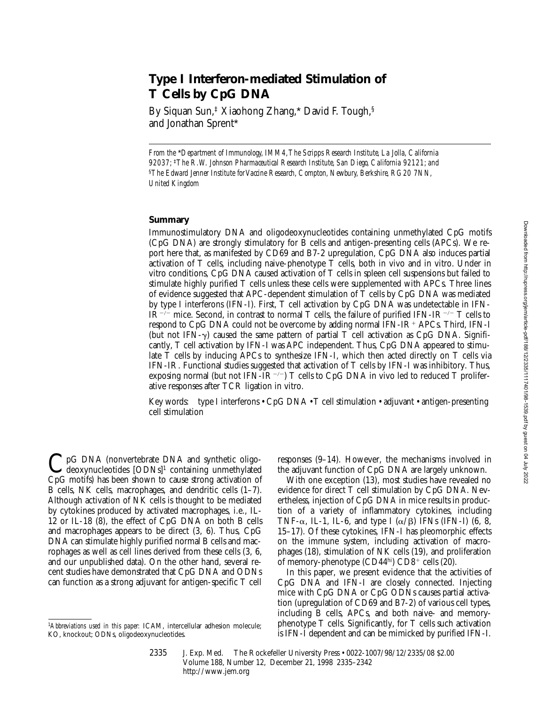# **Type I Interferon-mediated Stimulation of T Cells by CpG DNA**

By Siquan Sun,‡ Xiaohong Zhang,\* David F. Tough,§ and Jonathan Sprent\*

*From the* \**Department of Immunology, IMM4, The Scripps Research Institute, La Jolla, California 92037;* ‡*The R.W. Johnson Pharmaceutical Research Institute, San Diego, California 92121; and*  §*The Edward Jenner Institute for Vaccine Research, Compton, Newbury, Berkshire, RG20 7NN, United Kingdom*

### **Summary**

Immunostimulatory DNA and oligodeoxynucleotides containing unmethylated CpG motifs (CpG DNA) are strongly stimulatory for B cells and antigen-presenting cells (APCs). We report here that, as manifested by CD69 and B7-2 upregulation, CpG DNA also induces partial activation of T cells, including naive-phenotype  $\overline{T}$  cells, both in vivo and in vitro. Under in vitro conditions, CpG DNA caused activation of T cells in spleen cell suspensions but failed to stimulate highly purified T cells unless these cells were supplemented with APCs. Three lines of evidence suggested that APC-dependent stimulation of T cells by CpG DNA was mediated by type I interferons (IFN-I). First, T cell activation by CpG DNA was undetectable in IFN-IR<sup>-/-</sup> mice. Second, in contrast to normal T cells, the failure of purified IFN-IR<sup>-/-</sup> T cells to respond to CpG DNA could not be overcome by adding normal IFN-IR<sup>+</sup> APCs. Third, IFN-I (but not IFN- $\gamma$ ) caused the same pattern of partial T cell activation as CpG DNA. Significantly, T cell activation by IFN-I was APC independent. Thus, CpG DNA appeared to stimulate T cells by inducing APCs to synthesize IFN-I, which then acted directly on T cells via IFN-IR. Functional studies suggested that activation of T cells by IFN-I was inhibitory. Thus, exposing normal (but not IFN-IR<sup>-/-</sup>) T cells to CpG DNA in vivo led to reduced T proliferative responses after TCR ligation in vitro.

Key words: type I interferons • CpG DNA • T cell stimulation • adjuvant • antigen-presenting cell stimulation

C pG DNA (nonvertebrate DNA and synthetic oligo-<br>deoxynucleotides [ODNs]<sup>1</sup> containing unmethylated CpG motifs) has been shown to cause strong activation of B cells, NK cells, macrophages, and dendritic cells (1–7). Although activation of NK cells is thought to be mediated by cytokines produced by activated macrophages, i.e., IL-12 or IL-18 (8), the effect of CpG DNA on both B cells and macrophages appears to be direct (3, 6). Thus, CpG DNA can stimulate highly purified normal B cells and macrophages as well as cell lines derived from these cells (3, 6, and our unpublished data). On the other hand, several recent studies have demonstrated that CpG DNA and ODNs can function as a strong adjuvant for antigen-specific T cell

responses (9–14). However, the mechanisms involved in the adjuvant function of CpG DNA are largely unknown.

With one exception (13), most studies have revealed no evidence for direct T cell stimulation by CpG DNA. Nevertheless, injection of CpG DNA in mice results in production of a variety of inflammatory cytokines, including TNF- $\alpha$ , IL-1, IL-6, and type I ( $\alpha$ / $\beta$ ) IFNs (IFN-I) (6, 8, 15–17). Of these cytokines, IFN-I has pleomorphic effects on the immune system, including activation of macrophages (18), stimulation of NK cells (19), and proliferation of memory-phenotype  $(CD44<sup>hi</sup>)$   $CD8<sup>+</sup>$  cells (20).

In this paper, we present evidence that the activities of CpG DNA and IFN-I are closely connected. Injecting mice with CpG DNA or CpG ODNs causes partial activation (upregulation of CD69 and B7-2) of various cell types, including B cells, APCs, and both naive- and memoryphenotype T cells. Significantly, for T cells such activation is IFN-I dependent and can be mimicked by purified IFN-I.

<sup>1</sup>*Abbreviations used in this paper:* ICAM, intercellular adhesion molecule; KO, knockout; ODNs, oligodeoxynucleotides.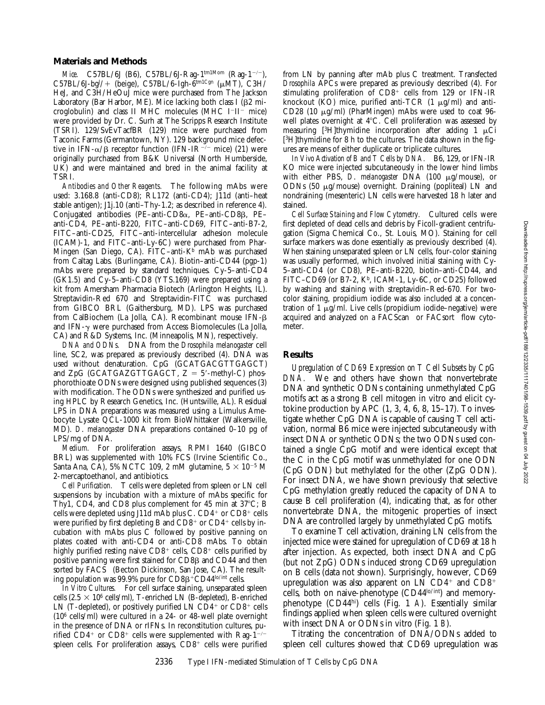#### **Materials and Methods**

*Mice.* C57BL/6J (B6), C57BL/6J-Rag-1<sup>tm1Mom</sup> (Rag-1<sup>-/-</sup>),  $C57BL/6J$ -bg<sup>J</sup>/+ (beige),  $C57BL/6$ -Igh-6<sup>tm1Cgn</sup> ( $\mu$ MT), C3H/ HeJ, and C3H/HeOuJ mice were purchased from The Jackson Laboratory (Bar Harbor, ME). Mice lacking both class I ( $\beta$ 2 microglobulin) and class II MHC molecules (MHC  $I<sup>-</sup>II<sup>-</sup>$  mice) were provided by Dr. C. Surh at The Scripps Research Institute (TSRI). 129/SvEvTacfBR (129) mice were purchased from Taconic Farms (Germantown, NY). 129 background mice defective in IFN- $\alpha$ / $\beta$  receptor function (IFN-IR<sup>-/-</sup> mice) (21) were originally purchased from B&K Universal (North Humberside, UK) and were maintained and bred in the animal facility at TSRI.

*Antibodies and Other Reagents.* The following mAbs were used: 3.168.8 (anti-CD8); RL172 (anti-CD4); J11d (anti–heat stable antigen); J1j.10 (anti–Thy-1.2; as described in reference 4). Conjugated antibodies (PE–anti-CD8a, PE–anti-CD8b, PE– anti-CD4, PE–anti-B220, FITC–anti-CD69, FITC–anti-B7-2, FITC–anti-CD25, FITC–anti-intercellular adhesion molecule (ICAM)-1, and FITC–anti-Ly-6C) were purchased from Phar-Mingen (San Diego, CA). FITC-anti-K<sup>b</sup> mAb was purchased from Caltag Labs. (Burlingame, CA). Biotin–anti-CD44 (pgp-1) mAbs were prepared by standard techniques. Cy-5–anti-CD4 (GK1.5) and Cy-5–anti-CD8 (YTS.169) were prepared using a kit from Amersham Pharmacia Biotech (Arlington Heights, IL). Streptavidin-Red 670 and Streptavidin-FITC was purchased from GIBCO BRL (Gaithersburg, MD). LPS was purchased from CalBiochem (La Jolla, CA). Recombinant mouse IFN-b and IFN- $\gamma$  were purchased from Access Biomolecules (La Jolla, CA) and R&D Systems, Inc. (Minneapolis, MN), respectively.

*DNA and ODNs.* DNA from the *Drosophila melanogaster* cell line, SC2, was prepared as previously described (4). DNA was used without denaturation. CpG (GCATGACGTTGAGCT) and  $ZpG$  (GCATGAZGTTGAGCT,  $Z = 5'$ -methyl-C) phosphorothioate ODNs were designed using published sequences (3) with modification. The ODNs were synthesized and purified using HPLC by Research Genetics, Inc. (Huntsville, AL). Residual LPS in DNA preparations was measured using a Limulus Amebocyte Lysate QCL-1000 kit from BioWhittaker (Walkersville, MD). *D*. *melanogaster* DNA preparations contained 0–10 pg of LPS/mg of DNA.

*Medium.* For proliferation assays, RPMI 1640 (GIBCO BRL) was supplemented with 10% FCS (Irvine Scientific Co., Santa Ana, CA), 5% NCTC 109, 2 mM glutamine,  $5 \times 10^{-5}$  M 2-mercaptoethanol, and antibiotics.

*Cell Purification.* T cells were depleted from spleen or LN cell suspensions by incubation with a mixture of mAbs specific for Thy1, CD4, and CD8 plus complement for  $45$  min at  $37^{\circ}$ C; B cells were depleted using J11d mAb plus C.  $CD4^+$  or  $CD8^+$  cells were purified by first depleting B and  $CD8^+$  or  $CD4^+$  cells by incubation with mAbs plus C followed by positive panning on plates coated with anti-CD4 or anti-CD8 mAbs. To obtain highly purified resting naive  $CD8^+$  cells,  $CD8^+$  cells purified by positive panning were first stained for CD8ß and CD44 and then sorted by FACS<sup>®</sup> (Becton Dickinson, San Jose, CA). The resulting population was 99.9% pure for  $CD8\beta^+CD44^{\text{lo/int}}$  cells.

*In Vitro Cultures.* For cell surface staining, unseparated spleen cells  $(2.5 \times 10^6 \text{ cells/ml})$ , T-enriched LN (B-depleted), B-enriched LN (T-depleted), or positively purified LN  $CD4^+$  or  $CD8^+$  cells (106 cells/ml) were cultured in a 24- or 48-well plate overnight in the presence of DNA or rIFNs. In reconstitution cultures, purified CD4<sup>+</sup> or CD8<sup>+</sup> cells were supplemented with Rag-1<sup>-/-</sup> spleen cells. For proliferation assays,  $CD8<sup>+</sup>$  cells were purified

from LN by panning after mAb plus C treatment. Transfected *Drosophila* APCs were prepared as previously described (4). For stimulating proliferation of CD8<sup>+</sup> cells from 129 or IFN-IR knockout (KO) mice, purified anti-TCR  $(1 \mu g/ml)$  and anti-CD28 (10 mg/ml) (PharMingen) mAbs were used to coat 96 well plates overnight at  $4^{\circ}$ C. Cell proliferation was assessed by measuring [3H]thymidine incorporation after adding 1  $\mu$ Ci [<sup>3</sup>H]thymidine for 8 h to the cultures. The data shown in the figures are means of either duplicate or triplicate cultures.

*In Vivo Activation of B and T Cells by DNA.* B6, 129, or IFN-IR KO mice were injected subcutaneously in the lower hind limbs with either PBS, *D*. *melanogaster* DNA (100 mg/mouse), or ODNs (50 mg/mouse) overnight. Draining (popliteal) LN and nondraining (mesenteric) LN cells were harvested 18 h later and stained.

*Cell Surface Staining and Flow Cytometry.* Cultured cells were first depleted of dead cells and debris by Ficoll-gradient centrifugation (Sigma Chemical Co., St. Louis, MO). Staining for cell surface markers was done essentially as previously described (4). When staining unseparated spleen or LN cells, four-color staining was usually performed, which involved initial staining with Cy-5–anti-CD4 (or CD8), PE–anti-B220, biotin–anti-CD44, and FITC–CD69 (or B7-2,  $K^b$ , ICAM-1, Ly-6C, or CD25) followed by washing and staining with streptavidin–Red-670. For twocolor staining, propidium iodide was also included at a concentration of 1  $\mu$ g/ml. Live cells (propidium iodide–negative) were acquired and analyzed on a  $FACS can^{\circledast}$  or  $FACS sort^{\circledast}$  flow cytometer.

## **Results**

*Upregulation of CD69 Expression on T Cell Subsets by CpG DNA.* We and others have shown that nonvertebrate DNA and synthetic ODNs containing unmethylated CpG motifs act as a strong B cell mitogen in vitro and elicit cytokine production by APC  $(1, 3, 4, 6, 8, 15-17)$ . To investigate whether CpG DNA is capable of causing T cell activation, normal B6 mice were injected subcutaneously with insect DNA or synthetic ODNs; the two ODNs used contained a single CpG motif and were identical except that the C in the CpG motif was unmethylated for one ODN (CpG ODN) but methylated for the other (ZpG ODN). For insect DNA, we have shown previously that selective CpG methylation greatly reduced the capacity of DNA to cause B cell proliferation (4), indicating that, as for other nonvertebrate DNA, the mitogenic properties of insect DNA are controlled largely by unmethylated CpG motifs.

To examine T cell activation, draining LN cells from the injected mice were stained for upregulation of CD69 at 18 h after injection. As expected, both insect DNA and CpG (but not ZpG) ODNs induced strong CD69 upregulation on B cells (data not shown). Surprisingly, however, CD69 upregulation was also apparent on LN CD4<sup>+</sup> and CD8<sup>+</sup> cells, both on naive-phenotype (CD44lo/int) and memoryphenotype (CD44hi) cells (Fig. 1 *A*). Essentially similar findings applied when spleen cells were cultured overnight with insect DNA or ODNs in vitro (Fig. 1 *B*).

Titrating the concentration of DNA/ODNs added to spleen cell cultures showed that CD69 upregulation was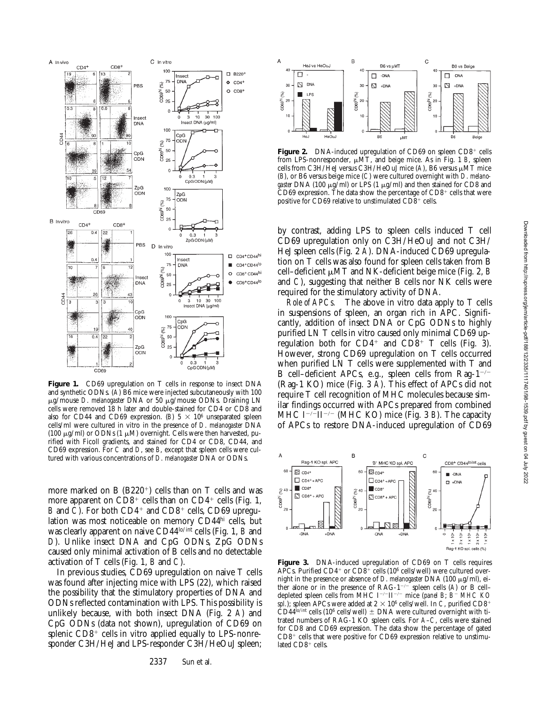

**Figure 1.** CD69 upregulation on T cells in response to insect DNA and synthetic ODNs. (*A*) B6 mice were injected subcutaneously with 100 mg/mouse *D*. *melanogaster* DNA or 50 mg/mouse ODNs. Draining LN cells were removed 18 h later and double-stained for CD4 or CD8 and also for CD44 and CD69 expression. (*B*)  $5 \times 10^6$  unseparated spleen cells/ml were cultured in vitro in the presence of *D*. *melanogaster* DNA (100  $\mu$ g/ml) or ODNs (1  $\mu$ M) overnight. Cells were then harvested, purified with Ficoll gradients, and stained for CD4 or CD8, CD44, and CD69 expression. For *C* and *D*, see *B*, except that spleen cells were cultured with various concentrations of *D*. *melanogaster* DNA or ODNs.

more marked on B  $(B220<sup>+</sup>)$  cells than on T cells and was more apparent on  $CD8^+$  cells than on  $CD4^+$  cells (Fig. 1, *B* and *C*). For both CD4<sup>+</sup> and CD8<sup>+</sup> cells, CD69 upregulation was most noticeable on memory CD44hi cells, but was clearly apparent on naive CD44lo/int cells (Fig. 1, *B* and *D*). Unlike insect DNA and CpG ODNs, ZpG ODNs caused only minimal activation of B cells and no detectable activation of T cells (Fig. 1, *B* and *C*).

In previous studies, CD69 upregulation on naive T cells was found after injecting mice with LPS (22), which raised the possibility that the stimulatory properties of DNA and ODNs reflected contamination with LPS. This possibility is unlikely because, with both insect DNA (Fig. 2 *A*) and CpG ODNs (data not shown), upregulation of CD69 on splenic  $CD8<sup>+</sup>$  cells in vitro applied equally to LPS-nonresponder C3H/HeJ and LPS-responder C3H/HeOuJ spleen;



Figure 2. DNA-induced upregulation of CD69 on spleen CD8<sup>+</sup> cells from LPS-nonresponder,  $\mu$ MT, and beige mice. As in Fig. 1 *B*, spleen cells from C3H/HeJ versus C3H/HeOuJ mice  $(A)$ , B6 versus  $\mu$ MT mice (*B*), or B6 versus beige mice (*C*) were cultured overnight with *D*. *melano*gaster DNA (100 μg/ml) or LPS (1 μg/ml) and then stained for CD8 and CD69 expression. The data show the percentage of  $CD8<sup>+</sup>$  cells that were positive for CD69 relative to unstimulated  $CD8<sup>+</sup>$  cells.

by contrast, adding LPS to spleen cells induced T cell CD69 upregulation only on C3H/HeOuJ and not C3H/ HeJ spleen cells (Fig. 2 *A*). DNA-induced CD69 upregulation on T cells was also found for spleen cells taken from B cell–deficient  $\mu$ MT and NK-deficient beige mice (Fig. 2, *B* and *C*), suggesting that neither B cells nor NK cells were required for the stimulatory activity of DNA.

*Role of APCs.* The above in vitro data apply to T cells in suspensions of spleen, an organ rich in APC. Significantly, addition of insect DNA or CpG ODNs to highly purified LN T cells in vitro caused only minimal CD69 upregulation both for  $CD4^+$  and  $CD8^+$  T cells (Fig. 3). However, strong CD69 upregulation on T cells occurred when purified LN T cells were supplemented with T and B cell–deficient APCs, e.g., spleen cells from Rag- $1^{-/-}$ (Rag-1 KO) mice (Fig. 3 *A*). This effect of APCs did not require T cell recognition of MHC molecules because similar findings occurred with APCs prepared from combined MHC I<sup>-/-</sup>II<sup>-/-</sup> (MHC KO) mice (Fig. 3 *B*). The capacity of APCs to restore DNA-induced upregulation of CD69



**Figure 3.** DNA-induced upregulation of CD69 on T cells requires APCs. Purified  $CD4^+$  or  $CD8^+$  cells (10<sup>6</sup> cells/well) were cultured overnight in the presence or absence of *D. melanogaster* DNA (100  $\mu$ g/ml), either alone or in the presence of  $RAG-1^{-/-}$  spleen cells (*A*) or B cell– depleted spleen cells from MHC I<sup>-/-</sup>II<sup>-/-</sup> mice (*panel B*; *B*<sup>-</sup> MHC KO *spl.*); spleen APCs were added at  $2 \times 10^6$  cells/well. In *C*, purified CD8<sup>+</sup> CD44<sup>lo/int</sup> cells (10<sup>6</sup> cells/well)  $\pm$  DNA were cultured overnight with titrated numbers of RAG-1 KO spleen cells. For *A*–*C*, cells were stained for CD8 and CD69 expression. The data show the percentage of gated  $CD8<sup>+</sup>$  cells that were positive for CD69 expression relative to unstimulated  $CD8<sup>+</sup>$  cells.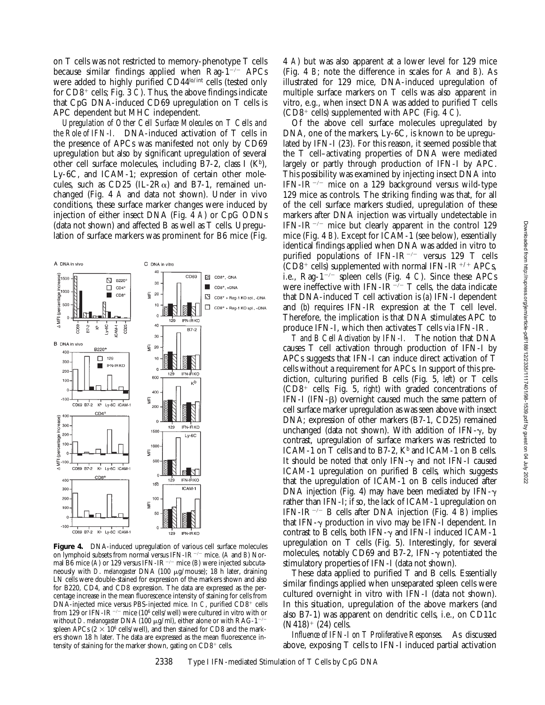on T cells was not restricted to memory-phenotype T cells because similar findings applied when  $\text{Rag-1}^{-/-}$  APCs were added to highly purified CD44<sup>lo/int</sup> cells (tested only for CD8<sup>+</sup> cells; Fig. 3 *C*). Thus, the above findings indicate that CpG DNA-induced CD69 upregulation on T cells is APC dependent but MHC independent.

*Upregulation of Other Cell Surface Molecules on T Cells and the Role of IFN-I.* DNA-induced activation of T cells in the presence of APCs was manifested not only by CD69 upregulation but also by significant upregulation of several other cell surface molecules, including B7-2, class I  $(K<sup>b</sup>)$ , Ly-6C, and ICAM-1; expression of certain other molecules, such as CD25 (IL-2 $R\alpha$ ) and B7-1, remained unchanged (Fig. 4 *A* and data not shown). Under in vivo conditions, these surface marker changes were induced by injection of either insect DNA (Fig. 4 *A*) or CpG ODNs (data not shown) and affected B as well as T cells. Upregulation of surface markers was prominent for B6 mice (Fig.



**Figure 4.** DNA-induced upregulation of various cell surface molecules on lymphoid subsets from normal versus IFN-IR<sup>-/-</sup> mice. (*A* and *B*) Normal B6 mice (A) or 129 versus IFN-IR<sup>-/-</sup> mice (B) were injected subcutaneously with *D*. *melanogaster* DNA (100 mg/mouse); 18 h later, draining LN cells were double-stained for expression of the markers shown and also for B220, CD4, and CD8 expression. The data are expressed as the percentage increase in the mean fluorescence intensity of staining for cells from  $DNA$ -injected mice versus PBS-injected mice. In *C*, purified  $CD8<sup>+</sup>$  cells from 129 or IFN-IR<sup>-/-</sup> mice (10<sup>6</sup> cells/well) were cultured in vitro with or without *D*. melanogaster DNA (100 μg/ml), either alone or with RAG-1<sup>-</sup> spleen APCs  $(2 \times 10^6 \text{ cells/well})$ , and then stained for CD8 and the markers shown 18 h later. The data are expressed as the mean fluorescence intensity of staining for the marker shown, gating on  $CD8^+$  cells.

4 *A*) but was also apparent at a lower level for 129 mice (Fig. 4 *B*; note the difference in scales for *A* and *B*). As illustrated for 129 mice, DNA-induced upregulation of multiple surface markers on T cells was also apparent in vitro, e.g., when insect DNA was added to purified T cells  $(CD8^+$  cells) supplemented with APC (Fig. 4 *C*).

Of the above cell surface molecules upregulated by DNA, one of the markers, Ly-6C, is known to be upregulated by IFN-I (23). For this reason, it seemed possible that the T cell–activating properties of DNA were mediated largely or partly through production of IFN-I by APC. This possibility was examined by injecting insect DNA into IFN-IR<sup>-/-</sup> mice on a 129 background versus wild-type 129 mice as controls. The striking finding was that, for all of the cell surface markers studied, upregulation of these markers after DNA injection was virtually undetectable in IFN-IR<sup>-/-</sup> mice but clearly apparent in the control 129 mice (Fig. 4 *B*). Except for ICAM-1 (see below), essentially identical findings applied when DNA was added in vitro to purified populations of IFN-IR<sup>-/-</sup> versus 129 T cells  $(CD8^+$  cells) supplemented with normal IFN-IR<sup>+/+</sup> APCs, i.e., Rag-1<sup>-/-</sup> spleen cells (Fig. 4 *C*). Since these APCs were ineffective with IFN-IR<sup>-/-</sup> T cells, the data indicate that DNA-induced T cell activation is (*a*) IFN-I dependent and (*b*) requires IFN-IR expression at the T cell level. Therefore, the implication is that DNA stimulates APC to produce IFN-I, which then activates T cells via IFN-IR.

*T and B Cell Activation by IFN-I.* The notion that DNA causes T cell activation through production of IFN-I by APCs suggests that IFN-I can induce direct activation of T cells without a requirement for APCs. In support of this prediction, culturing purified B cells (Fig. 5, *left*) or T cells  $(CD8<sup>+</sup>$  cells; Fig. 5, *right*) with graded concentrations of IFN-I (IFN-b) overnight caused much the same pattern of cell surface marker upregulation as was seen above with insect DNA; expression of other markers (B7-1, CD25) remained unchanged (data not shown). With addition of IFN- $\gamma$ , by contrast, upregulation of surface markers was restricted to ICAM-1 on T cells and to B7-2,  $K^b$  and ICAM-1 on B cells. It should be noted that only IFN- $\gamma$  and not IFN-I caused ICAM-1 upregulation on purified B cells, which suggests that the upregulation of ICAM-1 on B cells induced after DNA injection (Fig. 4) may have been mediated by IFN- $\gamma$ rather than IFN-I; if so, the lack of ICAM-1 upregulation on IFN-IR<sup>-/-</sup> B cells after DNA injection (Fig. 4 *B*) implies that IFN- $\gamma$  production in vivo may be IFN-I dependent. In contrast to B cells, both IFN- $\gamma$  and IFN-I induced ICAM-1 upregulation on T cells (Fig. 5). Interestingly, for several molecules, notably CD69 and B7-2, IFN- $\gamma$  potentiated the stimulatory properties of IFN-I (data not shown).

These data applied to purified T and B cells. Essentially similar findings applied when unseparated spleen cells were cultured overnight in vitro with IFN-I (data not shown). In this situation, upregulation of the above markers (and also B7-1) was apparent on dendritic cells, i.e., on CD11c  $(N418)$ <sup>+</sup> (24) cells.

*Influence of IFN-I on T Proliferative Responses.* As discussed above, exposing T cells to IFN-I induced partial activation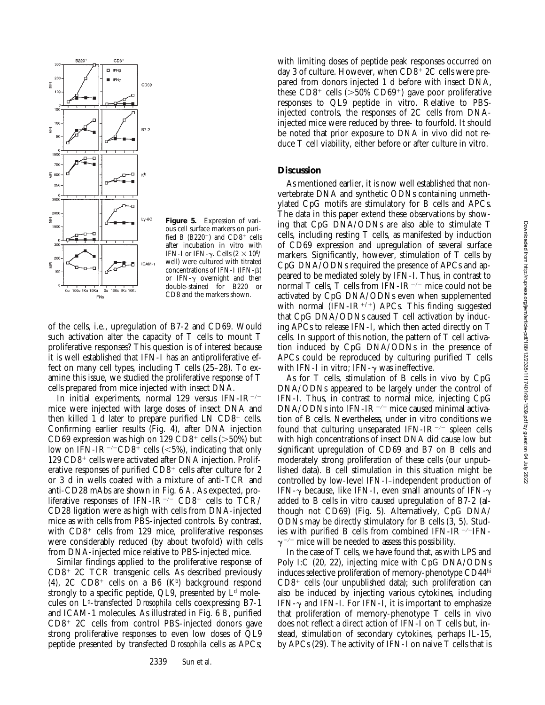

**Figure 5.** Expression of various cell surface markers on purified B  $(B220^+)$  and  $CD8^+$  cells after incubation in vitro with IFN-I or IFN- $\gamma$ . Cells (2  $\times$  10<sup>6</sup>/ well) were cultured with titrated concentrations of IFN-I (IFN- $\beta$ ) or IFN- $\gamma$  overnight and then double-stained for B220 or CD8 and the markers shown.

of the cells, i.e., upregulation of B7-2 and CD69. Would such activation alter the capacity of T cells to mount T proliferative responses? This question is of interest because it is well established that IFN-I has an antiproliferative effect on many cell types, including T cells (25–28). To examine this issue, we studied the proliferative response of T cells prepared from mice injected with insect DNA.

In initial experiments, normal 129 versus IFN-IR<sup> $-/-$ </sup> mice were injected with large doses of insect DNA and then killed 1 d later to prepare purified LN  $CD8<sup>+</sup>$  cells. Confirming earlier results (Fig. 4), after DNA injection CD69 expression was high on  $129 \text{ CD}8^+$  cells ( $>50\%$ ) but low on IFN-IR<sup>-/-</sup>CD8<sup>+</sup> cells (<5%), indicating that only  $129$  CD8<sup>+</sup> cells were activated after DNA injection. Proliferative responses of purified  $CD8^+$  cells after culture for 2 or 3 d in wells coated with a mixture of anti-TCR and anti-CD28 mAbs are shown in Fig. 6 *A*. As expected, proliferative responses of IFN-IR<sup>-/-</sup> CD8<sup>+</sup> cells to TCR/ CD28 ligation were as high with cells from DNA-injected mice as with cells from PBS-injected controls. By contrast, with  $CD8<sup>+</sup>$  cells from 129 mice, proliferative responses were considerably reduced (by about twofold) with cells from DNA-injected mice relative to PBS-injected mice.

Similar findings applied to the proliferative response of  $CD8<sup>+</sup> 2C TCR$  transgenic cells. As described previously (4),  $2C$   $CD8$ <sup>+</sup> cells on a B6 (Kb) background respond strongly to a specific peptide, QL9, presented by  $L<sup>d</sup>$  molecules on Ld-transfected *Drosophila* cells coexpressing B7-1 and ICAM-1 molecules. As illustrated in Fig. 6 *B*, purified  $CD8<sup>+</sup> 2C$  cells from control PBS-injected donors gave strong proliferative responses to even low doses of QL9 peptide presented by transfected *Drosophila* cells as APCs;

with limiting doses of peptide peak responses occurred on day 3 of culture. However, when  $CD8^+$  2C cells were prepared from donors injected 1 d before with insect DNA, these  $CD8^+$  cells ( $>50\%$  CD69<sup>+</sup>) gave poor proliferative responses to QL9 peptide in vitro. Relative to PBSinjected controls, the responses of 2C cells from DNAinjected mice were reduced by three- to fourfold. It should be noted that prior exposure to DNA in vivo did not reduce T cell viability, either before or after culture in vitro.

## **Discussion**

As mentioned earlier, it is now well established that nonvertebrate DNA and synthetic ODNs containing unmethylated CpG motifs are stimulatory for B cells and APCs. The data in this paper extend these observations by showing that CpG DNA/ODNs are also able to stimulate T cells, including resting T cells, as manifested by induction of CD69 expression and upregulation of several surface markers. Significantly, however, stimulation of T cells by CpG DNA/ODNs required the presence of APCs and appeared to be mediated solely by IFN-I. Thus, in contrast to normal T cells, T cells from IFN-IR<sup> $-/-$ </sup> mice could not be activated by CpG DNA/ODNs even when supplemented with normal (IFN-IR<sup>+/+</sup>) APCs. This finding suggested that CpG DNA/ODNs caused T cell activation by inducing APCs to release IFN-I, which then acted directly on T cells. In support of this notion, the pattern of T cell activation induced by CpG DNA/ODNs in the presence of APCs could be reproduced by culturing purified T cells with IFN-I in vitro; IFN- $\gamma$  was ineffective.

As for T cells, stimulation of B cells in vivo by CpG DNA/ODNs appeared to be largely under the control of IFN-I. Thus, in contrast to normal mice, injecting CpG DNA/ODNs into IFN-IR<sup>-/-</sup> mice caused minimal activation of B cells. Nevertheless, under in vitro conditions we found that culturing unseparated IFN-IR<sup> $-/-$ </sup> spleen cells with high concentrations of insect DNA did cause low but significant upregulation of CD69 and B7 on B cells and moderately strong proliferation of these cells (our unpublished data). B cell stimulation in this situation might be controlled by low-level IFN-I–independent production of IFN- $\gamma$  because, like IFN-I, even small amounts of IFN- $\gamma$ added to B cells in vitro caused upregulation of B7-2 (although not CD69) (Fig. 5). Alternatively, CpG DNA/ ODNs may be directly stimulatory for B cells (3, 5). Studies with purified B cells from combined IFN-IR $\neg$ -TFN- $\gamma$ <sup>-/-</sup> mice will be needed to assess this possibility.

In the case of T cells, we have found that, as with LPS and Poly I:C (20, 22), injecting mice with CpG DNA/ODNs induces selective proliferation of memory-phenotype CD44hi  $CD8<sup>+</sup>$  cells (our unpublished data); such proliferation can also be induced by injecting various cytokines, including IFN- $\gamma$  and IFN-I. For IFN-I, it is important to emphasize that proliferation of memory-phenotype T cells in vivo does not reflect a direct action of IFN-I on T cells but, instead, stimulation of secondary cytokines, perhaps IL-15, by APCs (29). The activity of IFN-I on naive T cells that is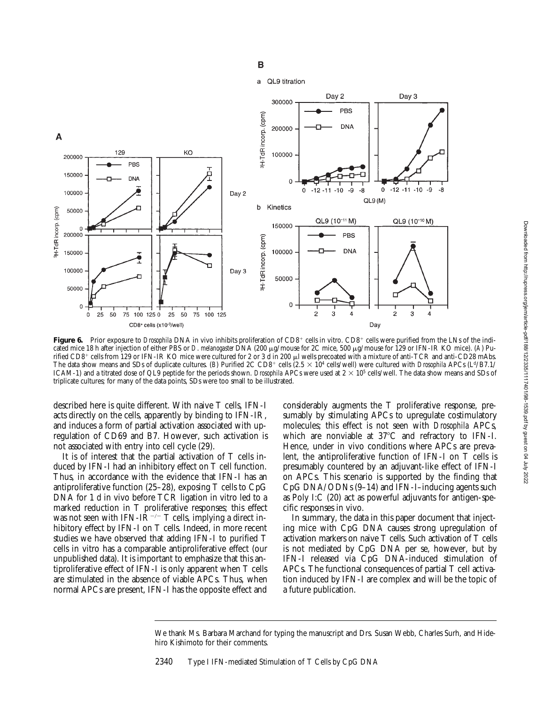

 $\overline{B}$ 

Figure 6. Prior exposure to *Drosophila* DNA in vivo inhibits proliferation of CD8<sup>+</sup> cells in vitro. CD8<sup>+</sup> cells were purified from the LNs of the indicated mice 18 h after injection of either PBS or *D*. *melanogaster* DNA (200 mg/mouse for 2C mice, 500 mg/mouse for 129 or IFN-IR KO mice). (*A*) Purified CD8<sup>+</sup> cells from 129 or IFN-IR KO mice were cultured for 2 or 3 d in 200 µl wells precoated with a mixture of anti-TCR and anti-CD28 mAbs. The data show means and SDs of duplicate cultures. (*B*) Purified 2C CD8<sup>+</sup> cells (2.5  $\times$  10<sup>4</sup> cells/well) were cultured with *Drosophila* APCs (L<sup>d</sup>/B7.1/ ICAM-1) and a titrated dose of QL9 peptide for the periods shown. *Drosophila* APCs were used at  $2 \times 10^5$  cells/well. The data show means and SDs of triplicate cultures; for many of the data points, SDs were too small to be illustrated.

described here is quite different. With naive T cells, IFN-I acts directly on the cells, apparently by binding to IFN-IR, and induces a form of partial activation associated with upregulation of CD69 and B7. However, such activation is not associated with entry into cell cycle (29).

It is of interest that the partial activation of T cells induced by IFN-I had an inhibitory effect on T cell function. Thus, in accordance with the evidence that IFN-I has an antiproliferative function (25–28), exposing T cells to CpG DNA for 1 d in vivo before TCR ligation in vitro led to a marked reduction in T proliferative responses; this effect was not seen with IFN-IR<sup>-/-</sup> T cells, implying a direct inhibitory effect by IFN-I on T cells. Indeed, in more recent studies we have observed that adding IFN-I to purified T cells in vitro has a comparable antiproliferative effect (our unpublished data). It is important to emphasize that this antiproliferative effect of IFN-I is only apparent when T cells are stimulated in the absence of viable APCs. Thus, when normal APCs are present, IFN-I has the opposite effect and

considerably augments the T proliferative response, presumably by stimulating APCs to upregulate costimulatory molecules; this effect is not seen with *Drosophila* APCs, which are nonviable at  $37^{\circ}$ C and refractory to IFN-I. Hence, under in vivo conditions where APCs are prevalent, the antiproliferative function of IFN-I on T cells is presumably countered by an adjuvant-like effect of IFN-I on APCs. This scenario is supported by the finding that CpG DNA/ODNs (9–14) and IFN-I–inducing agents such as Poly I:C (20) act as powerful adjuvants for antigen-specific responses in vivo.

In summary, the data in this paper document that injecting mice with CpG DNA causes strong upregulation of activation markers on naive T cells. Such activation of T cells is not mediated by CpG DNA per se, however, but by IFN-I released via CpG DNA-induced stimulation of APCs. The functional consequences of partial T cell activation induced by IFN-I are complex and will be the topic of a future publication.

We thank Ms. Barbara Marchand for typing the manuscript and Drs. Susan Webb, Charles Surh, and Hidehiro Kishimoto for their comments.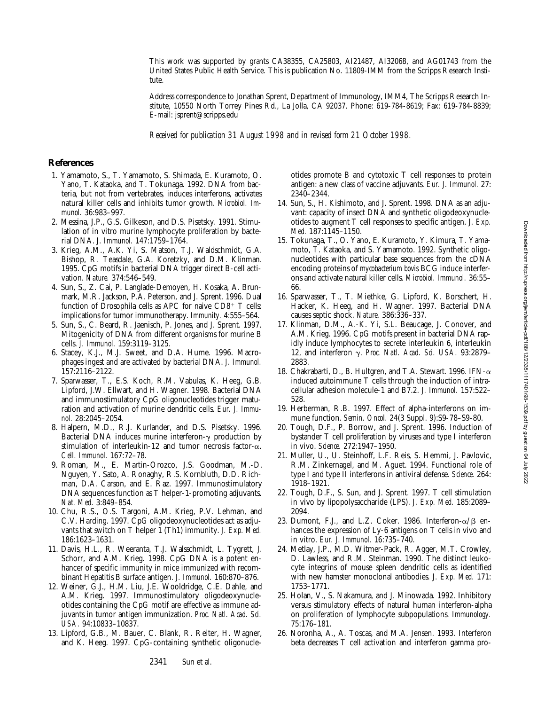This work was supported by grants CA38355, CA25803, AI21487, AI32068, and AG01743 from the United States Public Health Service. This is publication No. 11809-IMM from the Scripps Research Institute.

Address correspondence to Jonathan Sprent, Department of Immunology, IMM4, The Scripps Research Institute, 10550 North Torrey Pines Rd., La Jolla, CA 92037. Phone: 619-784-8619; Fax: 619-784-8839; E-mail: jsprent@scripps.edu

*Received for publication 31 August 1998 and in revised form 21 October 1998.*

#### **References**

- 1. Yamamoto, S., T. Yamamoto, S. Shimada, E. Kuramoto, O. Yano, T. Kataoka, and T. Tokunaga. 1992. DNA from bacteria, but not from vertebrates, induces interferons, activates natural killer cells and inhibits tumor growth. *Microbiol. Immunol.* 36:983–997.
- 2. Messina, J.P., G.S. Gilkeson, and D.S. Pisetsky. 1991. Stimulation of in vitro murine lymphocyte proliferation by bacterial DNA. *J. Immunol.* 147:1759–1764.
- 3. Krieg, A.M., A.K. Yi, S. Matson, T.J. Waldschmidt, G.A. Bishop, R. Teasdale, G.A. Koretzky, and D.M. Klinman. 1995. CpG motifs in bacterial DNA trigger direct B-cell activation. *Nature.* 374:546–549.
- 4. Sun, S., Z. Cai, P. Langlade-Demoyen, H. Kosaka, A. Brunmark, M.R. Jackson, P.A. Peterson, and J. Sprent. 1996. Dual function of Drosophila cells as APC for naive  $CD8^+$  T cells: implications for tumor immunotherapy. *Immunity.* 4:555–564.
- 5. Sun, S., C. Beard, R. Jaenisch, P. Jones, and J. Sprent. 1997. Mitogenicity of DNA from different organisms for murine B cells. *J. Immunol.* 159:3119–3125.
- 6. Stacey, K.J., M.J. Sweet, and D.A. Hume. 1996. Macrophages ingest and are activated by bacterial DNA. *J. Immunol.* 157:2116–2122.
- 7. Sparwasser, T., E.S. Koch, R.M. Vabulas, K. Heeg, G.B. Lipford, J.W. Ellwart, and H. Wagner. 1998. Bacterial DNA and immunostimulatory CpG oligonucleotides trigger maturation and activation of murine dendritic cells. *Eur. J. Immunol.* 28:2045–2054.
- 8. Halpern, M.D., R.J. Kurlander, and D.S. Pisetsky. 1996. Bacterial DNA induces murine interferon- $\gamma$  production by stimulation of interleukin-12 and tumor necrosis factor- $\alpha$ . *Cell. Immunol.* 167:72–78.
- 9. Roman, M., E. Martin-Orozco, J.S. Goodman, M.-D. Nguyen, Y. Sato, A. Ronaghy, R.S. Kornbluth, D.D. Richman, D.A. Carson, and E. Raz. 1997. Immunostimulatory DNA sequences function as T helper-1-promoting adjuvants. *Nat. Med.* 3:849–854.
- 10. Chu, R.S., O.S. Targoni, A.M. Krieg, P.V. Lehman, and C.V. Harding. 1997. CpG oligodeoxynucleotides act as adjuvants that switch on T helper 1 (Th1) immunity. *J. Exp. Med.* 186:1623–1631.
- 11. Davis, H.L., R. Weeranta, T.J. Walsschmidt, L. Tygrett, J. Schorr, and A.M. Krieg. 1998. CpG DNA is a potent enhancer of specific immunity in mice immunized with recombinant Hepatitis B surface antigen. *J. Immunol.* 160:870–876.
- 12. Weiner, G.J., H.M. Liu, J.E. Wooldridge, C.E. Dahle, and A.M. Krieg. 1997. Immunostimulatory oligodeoxynucleotides containing the CpG motif are effective as immune adjuvants in tumor antigen immunization. *Proc. Natl. Acad. Sci. USA.* 94:10833–10837.
- 13. Lipford, G.B., M. Bauer, C. Blank, R. Reiter, H. Wagner, and K. Heeg. 1997. CpG-containing synthetic oligonucle-

otides promote B and cytotoxic T cell responses to protein antigen: a new class of vaccine adjuvants. *Eur. J. Immunol.* 27: 2340–2344.

- 14. Sun, S., H. Kishimoto, and J. Sprent. 1998. DNA as an adjuvant: capacity of insect DNA and synthetic oligodeoxynucleotides to augment T cell responses to specific antigen. *J. Exp. Med.* 187:1145–1150.
- 15. Tokunaga, T., O. Yano, E. Kuramoto, Y. Kimura, T. Yamamoto, T. Kataoka, and S. Yamamoto. 1992. Synthetic oligonucleotides with particular base sequences from the cDNA encoding proteins of *mycobacterium bovis* BCG induce interferons and activate natural killer cells. *Microbiol. Immunol.* 36:55– 66.
- 16. Sparwasser, T., T. Miethke, G. Lipford, K. Borschert, H. Hacker, K. Heeg, and H. Wagner. 1997. Bacterial DNA causes septic shock. *Nature.* 386:336–337.
- 17. Klinman, D.M., A.-K. Yi, S.L. Beaucage, J. Conover, and A.M. Krieg. 1996. CpG motifs present in bacterial DNA rapidly induce lymphocytes to secrete interleukin 6, interleukin 12, and interferon g. *Proc. Natl. Acad. Sci. USA.* 93:2879– 2883.
- 18. Chakrabarti, D., B. Hultgren, and T.A. Stewart. 1996. IFN-a induced autoimmune T cells through the induction of intracellular adhesion molecule-1 and B7.2. *J. Immunol.* 157:522– 528.
- 19. Herberman, R.B. 1997. Effect of alpha-interferons on immune function. *Semin. Oncol.* 24(3 Suppl. 9):S9-78–S9-80.
- 20. Tough, D.F., P. Borrow, and J. Sprent. 1996. Induction of bystander T cell proliferation by viruses and type I interferon in vivo. *Science.* 272:1947–1950.
- 21. Muller, U., U. Steinhoff, L.F. Reis, S. Hemmi, J. Pavlovic, R.M. Zinkernagel, and M. Aguet. 1994. Functional role of type I and type II interferons in antiviral defense. *Science.* 264: 1918–1921.
- 22. Tough, D.F., S. Sun, and J. Sprent. 1997. T cell stimulation in vivo by lipopolysaccharide (LPS). *J. Exp. Med.* 185:2089– 2094.
- 23. Dumont, F.J., and L.Z. Coker. 1986. Interferon- $\alpha/\beta$  enhances the expression of Ly-6 antigens on T cells in vivo and in vitro. *Eur. J. Immunol.* 16:735–740.
- 24. Metlay, J.P., M.D. Witmer-Pack, R. Agger, M.T. Crowley, D. Lawless, and R.M. Steinman. 1990. The distinct leukocyte integrins of mouse spleen dendritic cells as identified with new hamster monoclonal antibodies. *J. Exp. Med.* 171: 1753–1771.
- 25. Holan, V., S. Nakamura, and J. Minowada. 1992. Inhibitory versus stimulatory effects of natural human interferon-alpha on proliferation of lymphocyte subpopulations. *Immunology.* 75:176–181.
- 26. Noronha, A., A. Toscas, and M.A. Jensen. 1993. Interferon beta decreases T cell activation and interferon gamma pro-